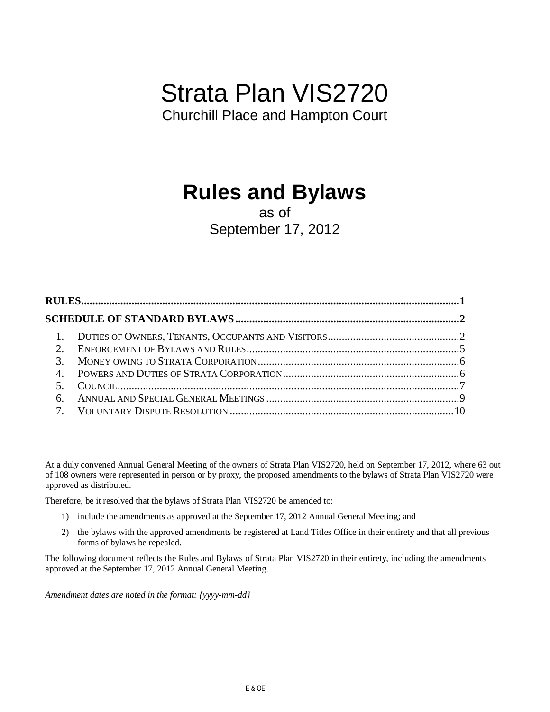# Strata Plan VIS2720

Churchill Place and Hampton Court

# **Rules and Bylaws**

# as of September 17, 2012

| $\sim$ |  |
|--------|--|
|        |  |
|        |  |

At a duly convened Annual General Meeting of the owners of Strata Plan VIS2720, held on September 17, 2012, where 63 out of 108 owners were represented in person or by proxy, the proposed amendments to the bylaws of Strata Plan VIS2720 were approved as distributed.

Therefore, be it resolved that the bylaws of Strata Plan VIS2720 be amended to:

- 1) include the amendments as approved at the September 17, 2012 Annual General Meeting; and
- 2) the bylaws with the approved amendments be registered at Land Titles Office in their entirety and that all previous forms of bylaws be repealed.

The following document reflects the Rules and Bylaws of Strata Plan VIS2720 in their entirety, including the amendments approved at the September 17, 2012 Annual General Meeting.

*Amendment dates are noted in the format: {yyyy-mm-dd}*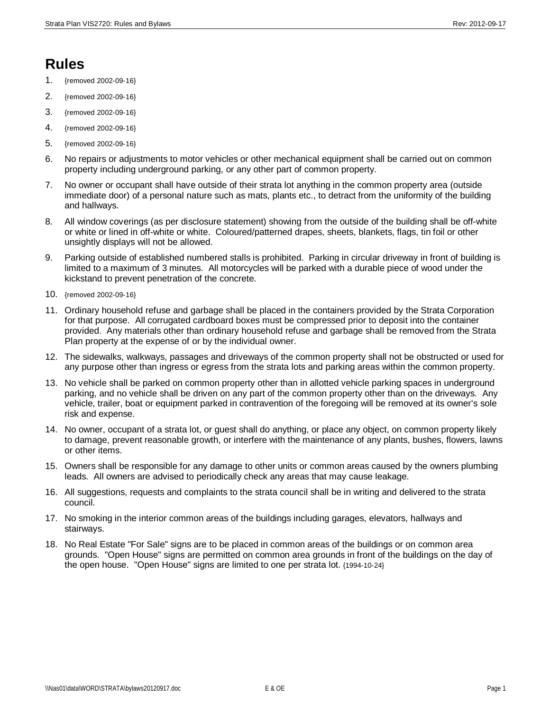# **Rules**

- 1. {removed 2002-09-16}
- 2. {removed 2002-09-16}
- 3. {removed 2002-09-16}
- 4. {removed 2002-09-16}
- 5. {removed 2002-09-16}
- 6. No repairs or adjustments to motor vehicles or other mechanical equipment shall be carried out on common property including underground parking, or any other part of common property.
- 7. No owner or occupant shall have outside of their strata lot anything in the common property area (outside immediate door) of a personal nature such as mats, plants etc., to detract from the uniformity of the building and hallways.
- 8. All window coverings (as per disclosure statement) showing from the outside of the building shall be off-white or white or lined in off-white or white. Coloured/patterned drapes, sheets, blankets, flags, tin foil or other unsightly displays will not be allowed.
- 9. Parking outside of established numbered stalls is prohibited. Parking in circular driveway in front of building is limited to a maximum of 3 minutes. All motorcycles will be parked with a durable piece of wood under the kickstand to prevent penetration of the concrete.
- 10. {removed 2002-09-16}
- 11. Ordinary household refuse and garbage shall be placed in the containers provided by the Strata Corporation for that purpose. All corrugated cardboard boxes must be compressed prior to deposit into the container provided. Any materials other than ordinary household refuse and garbage shall be removed from the Strata Plan property at the expense of or by the individual owner.
- 12. The sidewalks, walkways, passages and driveways of the common property shall not be obstructed or used for any purpose other than ingress or egress from the strata lots and parking areas within the common property.
- 13. No vehicle shall be parked on common property other than in allotted vehicle parking spaces in underground parking, and no vehicle shall be driven on any part of the common property other than on the driveways. Any vehicle, trailer, boat or equipment parked in contravention of the foregoing will be removed at its owner's sole risk and expense.
- 14. No owner, occupant of a strata lot, or guest shall do anything, or place any object, on common property likely to damage, prevent reasonable growth, or interfere with the maintenance of any plants, bushes, flowers, lawns or other items.
- 15. Owners shall be responsible for any damage to other units or common areas caused by the owners plumbing leads. All owners are advised to periodically check any areas that may cause leakage.
- 16. All suggestions, requests and complaints to the strata council shall be in writing and delivered to the strata council.
- 17. No smoking in the interior common areas of the buildings including garages, elevators, hallways and stairways.
- 18. No Real Estate "For Sale" signs are to be placed in common areas of the buildings or on common area grounds. "Open House" signs are permitted on common area grounds in front of the buildings on the day of the open house. "Open House" signs are limited to one per strata lot. {1994-10-24}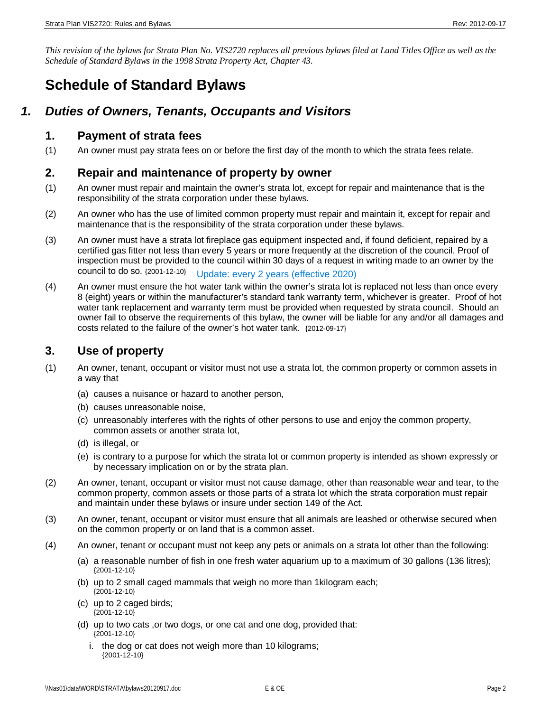*This revision of the bylaws for Strata Plan No. VIS2720 replaces all previous bylaws filed at Land Titles Office as well as the Schedule of Standard Bylaws in the 1998 Strata Property Act, Chapter 43.*

# **Schedule of Standard Bylaws**

# *1. Duties of Owners, Tenants, Occupants and Visitors*

#### **1. Payment of strata fees**

(1) An owner must pay strata fees on or before the first day of the month to which the strata fees relate.

#### **2. Repair and maintenance of property by owner**

- (1) An owner must repair and maintain the owner's strata lot, except for repair and maintenance that is the responsibility of the strata corporation under these bylaws.
- (2) An owner who has the use of limited common property must repair and maintain it, except for repair and maintenance that is the responsibility of the strata corporation under these bylaws.
- (3) An owner must have a strata lot fireplace gas equipment inspected and, if found deficient, repaired by a certified gas fitter not less than every 5 years or more frequently at the discretion of the council. Proof of inspection must be provided to the council within 30 days of a request in writing made to an owner by the council to do so. {2001-12-10} Update: every 2 years (effective 2020)
- (4) An owner must ensure the hot water tank within the owner's strata lot is replaced not less than once every 8 (eight) years or within the manufacturer's standard tank warranty term, whichever is greater. Proof of hot water tank replacement and warranty term must be provided when requested by strata council. Should an owner fail to observe the requirements of this bylaw, the owner will be liable for any and/or all damages and costs related to the failure of the owner's hot water tank. {2012-09-17}

# **3. Use of property**

- (1) An owner, tenant, occupant or visitor must not use a strata lot, the common property or common assets in a way that
	- (a) causes a nuisance or hazard to another person,
	- (b) causes unreasonable noise,
	- (c) unreasonably interferes with the rights of other persons to use and enjoy the common property, common assets or another strata lot,
	- (d) is illegal, or
	- (e) is contrary to a purpose for which the strata lot or common property is intended as shown expressly or by necessary implication on or by the strata plan.
- (2) An owner, tenant, occupant or visitor must not cause damage, other than reasonable wear and tear, to the common property, common assets or those parts of a strata lot which the strata corporation must repair and maintain under these bylaws or insure under section 149 of the Act.
- (3) An owner, tenant, occupant or visitor must ensure that all animals are leashed or otherwise secured when on the common property or on land that is a common asset.
- (4) An owner, tenant or occupant must not keep any pets or animals on a strata lot other than the following:
	- (a) a reasonable number of fish in one fresh water aquarium up to a maximum of 30 gallons (136 litres); {2001-12-10}
	- (b) up to 2 small caged mammals that weigh no more than 1kilogram each; {2001-12-10}
	- (c) up to 2 caged birds; {2001-12-10}
	- (d) up to two cats ,or two dogs, or one cat and one dog, provided that: {2001-12-10}
		- i. the dog or cat does not weigh more than 10 kilograms; {2001-12-10}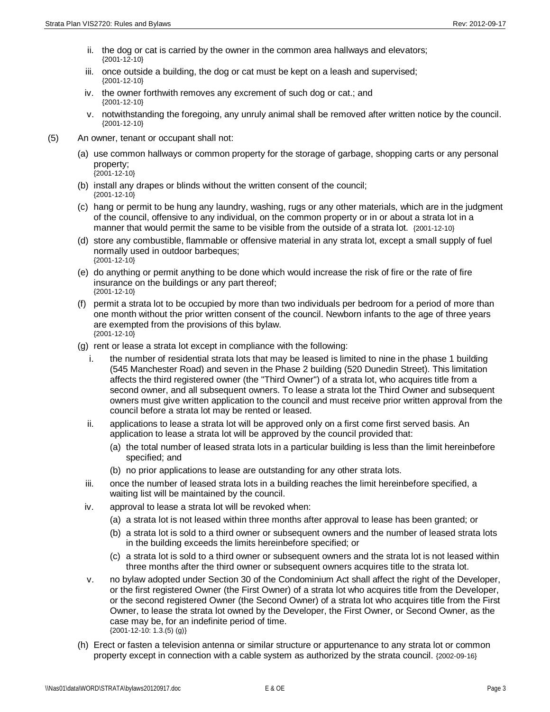- ii. the dog or cat is carried by the owner in the common area hallways and elevators; {2001-12-10}
- iii. once outside a building, the dog or cat must be kept on a leash and supervised; {2001-12-10}
- iv. the owner forthwith removes any excrement of such dog or cat.; and {2001-12-10}
- v. notwithstanding the foregoing, any unruly animal shall be removed after written notice by the council. {2001-12-10}
- (5) An owner, tenant or occupant shall not:
	- (a) use common hallways or common property for the storage of garbage, shopping carts or any personal property; {2001-12-10}
	- (b) install any drapes or blinds without the written consent of the council; {2001-12-10}
	- (c) hang or permit to be hung any laundry, washing, rugs or any other materials, which are in the judgment of the council, offensive to any individual, on the common property or in or about a strata lot in a manner that would permit the same to be visible from the outside of a strata lot. {2001-12-10}
	- (d) store any combustible, flammable or offensive material in any strata lot, except a small supply of fuel normally used in outdoor barbeques; {2001-12-10}
	- (e) do anything or permit anything to be done which would increase the risk of fire or the rate of fire insurance on the buildings or any part thereof; {2001-12-10}
	- (f) permit a strata lot to be occupied by more than two individuals per bedroom for a period of more than one month without the prior written consent of the council. Newborn infants to the age of three years are exempted from the provisions of this bylaw. {2001-12-10}
	- (g) rent or lease a strata lot except in compliance with the following:
		- i. the number of residential strata lots that may be leased is limited to nine in the phase 1 building (545 Manchester Road) and seven in the Phase 2 building (520 Dunedin Street). This limitation affects the third registered owner (the "Third Owner") of a strata lot, who acquires title from a second owner, and all subsequent owners. To lease a strata lot the Third Owner and subsequent owners must give written application to the council and must receive prior written approval from the council before a strata lot may be rented or leased.
		- ii. applications to lease a strata lot will be approved only on a first come first served basis. An application to lease a strata lot will be approved by the council provided that:
			- (a) the total number of leased strata lots in a particular building is less than the limit hereinbefore specified; and
			- (b) no prior applications to lease are outstanding for any other strata lots.
		- iii. once the number of leased strata lots in a building reaches the limit hereinbefore specified, a waiting list will be maintained by the council.
		- iv. approval to lease a strata lot will be revoked when:
			- (a) a strata lot is not leased within three months after approval to lease has been granted; or
			- (b) a strata lot is sold to a third owner or subsequent owners and the number of leased strata lots in the building exceeds the limits hereinbefore specified; or
			- (c) a strata lot is sold to a third owner or subsequent owners and the strata lot is not leased within three months after the third owner or subsequent owners acquires title to the strata lot.
		- v. no bylaw adopted under Section 30 of the Condominium Act shall affect the right of the Developer, or the first registered Owner (the First Owner) of a strata lot who acquires title from the Developer, or the second registered Owner (the Second Owner) of a strata lot who acquires title from the First Owner, to lease the strata lot owned by the Developer, the First Owner, or Second Owner, as the case may be, for an indefinite period of time. {2001-12-10: 1.3.(5) (g)}
	- (h) Erect or fasten a television antenna or similar structure or appurtenance to any strata lot or common property except in connection with a cable system as authorized by the strata council. {2002-09-16}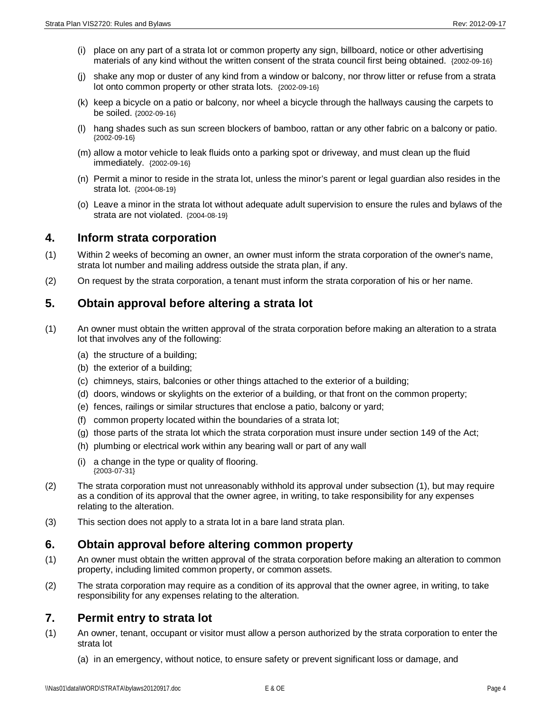- (i) place on any part of a strata lot or common property any sign, billboard, notice or other advertising materials of any kind without the written consent of the strata council first being obtained. {2002-09-16}
- (j) shake any mop or duster of any kind from a window or balcony, nor throw litter or refuse from a strata lot onto common property or other strata lots. {2002-09-16}
- (k) keep a bicycle on a patio or balcony, nor wheel a bicycle through the hallways causing the carpets to be soiled. {2002-09-16}
- (l) hang shades such as sun screen blockers of bamboo, rattan or any other fabric on a balcony or patio. {2002-09-16}
- (m) allow a motor vehicle to leak fluids onto a parking spot or driveway, and must clean up the fluid immediately. {2002-09-16}
- (n) Permit a minor to reside in the strata lot, unless the minor's parent or legal guardian also resides in the strata lot. {2004-08-19}
- (o) Leave a minor in the strata lot without adequate adult supervision to ensure the rules and bylaws of the strata are not violated. {2004-08-19}

#### **4. Inform strata corporation**

- (1) Within 2 weeks of becoming an owner, an owner must inform the strata corporation of the owner's name, strata lot number and mailing address outside the strata plan, if any.
- (2) On request by the strata corporation, a tenant must inform the strata corporation of his or her name.

### **5. Obtain approval before altering a strata lot**

- (1) An owner must obtain the written approval of the strata corporation before making an alteration to a strata lot that involves any of the following:
	- (a) the structure of a building;
	- (b) the exterior of a building;
	- (c) chimneys, stairs, balconies or other things attached to the exterior of a building;
	- (d) doors, windows or skylights on the exterior of a building, or that front on the common property;
	- (e) fences, railings or similar structures that enclose a patio, balcony or yard;
	- (f) common property located within the boundaries of a strata lot;
	- (g) those parts of the strata lot which the strata corporation must insure under section 149 of the Act;
	- (h) plumbing or electrical work within any bearing wall or part of any wall
	- (i) a change in the type or quality of flooring. {2003-07-31}
- (2) The strata corporation must not unreasonably withhold its approval under subsection (1), but may require as a condition of its approval that the owner agree, in writing, to take responsibility for any expenses relating to the alteration.
- (3) This section does not apply to a strata lot in a bare land strata plan.

#### **6. Obtain approval before altering common property**

- (1) An owner must obtain the written approval of the strata corporation before making an alteration to common property, including limited common property, or common assets.
- (2) The strata corporation may require as a condition of its approval that the owner agree, in writing, to take responsibility for any expenses relating to the alteration.

#### **7. Permit entry to strata lot**

- (1) An owner, tenant, occupant or visitor must allow a person authorized by the strata corporation to enter the strata lot
	- (a) in an emergency, without notice, to ensure safety or prevent significant loss or damage, and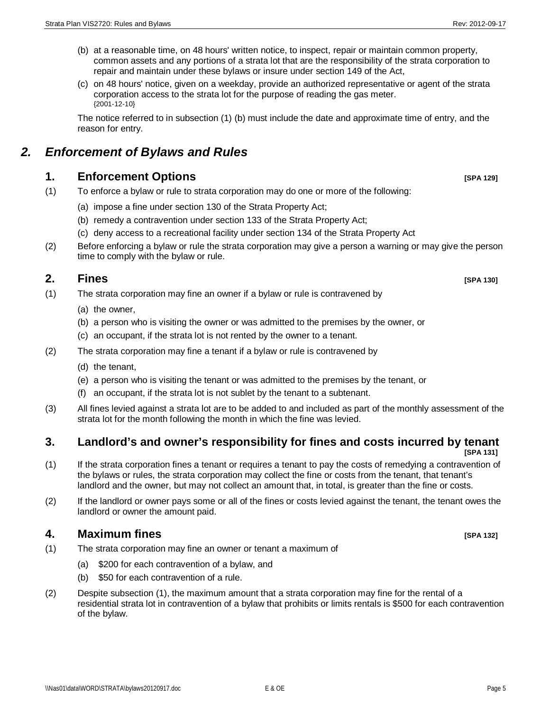- (b) at a reasonable time, on 48 hours' written notice, to inspect, repair or maintain common property, common assets and any portions of a strata lot that are the responsibility of the strata corporation to repair and maintain under these bylaws or insure under section 149 of the Act,
- (c) on 48 hours' notice, given on a weekday, provide an authorized representative or agent of the strata corporation access to the strata lot for the purpose of reading the gas meter. {2001-12-10}

The notice referred to in subsection (1) (b) must include the date and approximate time of entry, and the reason for entry.

# *2. Enforcement of Bylaws and Rules*

# **1. Enforcement Options [SPA 129]**

- (1) To enforce a bylaw or rule to strata corporation may do one or more of the following:
	- (a) impose a fine under section 130 of the Strata Property Act;
	- (b) remedy a contravention under section 133 of the Strata Property Act;
	- (c) deny access to a recreational facility under section 134 of the Strata Property Act
- (2) Before enforcing a bylaw or rule the strata corporation may give a person a warning or may give the person time to comply with the bylaw or rule.

# **2. Fines [SPA 130]**

- (1) The strata corporation may fine an owner if a bylaw or rule is contravened by
	- (a) the owner,
	- (b) a person who is visiting the owner or was admitted to the premises by the owner, or
	- (c) an occupant, if the strata lot is not rented by the owner to a tenant.
- (2) The strata corporation may fine a tenant if a bylaw or rule is contravened by
	- (d) the tenant,
	- (e) a person who is visiting the tenant or was admitted to the premises by the tenant, or
	- (f) an occupant, if the strata lot is not sublet by the tenant to a subtenant.
- (3) All fines levied against a strata lot are to be added to and included as part of the monthly assessment of the strata lot for the month following the month in which the fine was levied.

#### **3. Landlord's and owner's responsibility for fines and costs incurred by tenant [SPA 131]**

- (1) If the strata corporation fines a tenant or requires a tenant to pay the costs of remedying a contravention of the bylaws or rules, the strata corporation may collect the fine or costs from the tenant, that tenant's landlord and the owner, but may not collect an amount that, in total, is greater than the fine or costs.
- (2) If the landlord or owner pays some or all of the fines or costs levied against the tenant, the tenant owes the landlord or owner the amount paid.

# **4. Maximum fines [SPA 132]**

- (1) The strata corporation may fine an owner or tenant a maximum of
	- (a) \$200 for each contravention of a bylaw, and
	- (b) \$50 for each contravention of a rule.
- (2) Despite subsection (1), the maximum amount that a strata corporation may fine for the rental of a residential strata lot in contravention of a bylaw that prohibits or limits rentals is \$500 for each contravention of the bylaw.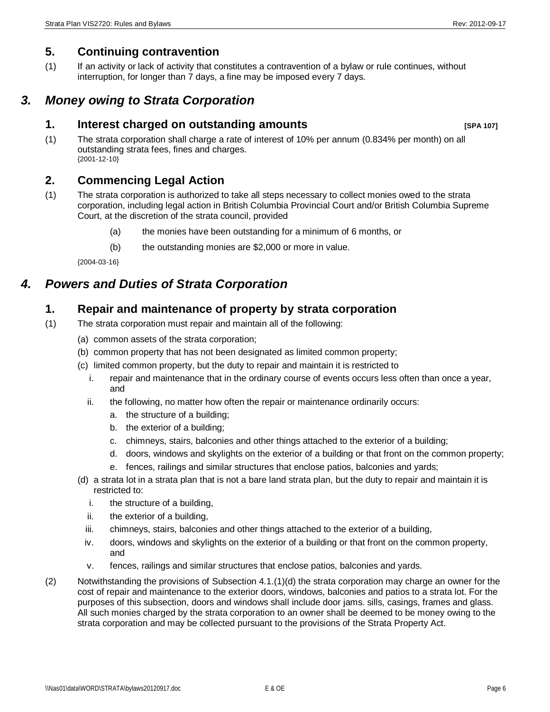# **5. Continuing contravention**

(1) If an activity or lack of activity that constitutes a contravention of a bylaw or rule continues, without interruption, for longer than 7 days, a fine may be imposed every 7 days.

# *3. Money owing to Strata Corporation*

# **1. Interest charged on outstanding amounts [SPA 107]**

(1) The strata corporation shall charge a rate of interest of 10% per annum (0.834% per month) on all outstanding strata fees, fines and charges. {2001-12-10}

# **2. Commencing Legal Action**

- (1) The strata corporation is authorized to take all steps necessary to collect monies owed to the strata corporation, including legal action in British Columbia Provincial Court and/or British Columbia Supreme Court, at the discretion of the strata council, provided
	- (a) the monies have been outstanding for a minimum of 6 months, or
	- (b) the outstanding monies are \$2,000 or more in value.

{2004-03-16}

# *4. Powers and Duties of Strata Corporation*

# **1. Repair and maintenance of property by strata corporation**

- (1) The strata corporation must repair and maintain all of the following:
	- (a) common assets of the strata corporation;
	- (b) common property that has not been designated as limited common property;
	- (c) limited common property, but the duty to repair and maintain it is restricted to
		- i. repair and maintenance that in the ordinary course of events occurs less often than once a year, and
		- ii. the following, no matter how often the repair or maintenance ordinarily occurs:
			- a. the structure of a building;
			- b. the exterior of a building;
			- c. chimneys, stairs, balconies and other things attached to the exterior of a building;
			- d. doors, windows and skylights on the exterior of a building or that front on the common property;
			- e. fences, railings and similar structures that enclose patios, balconies and yards;
	- (d) a strata lot in a strata plan that is not a bare land strata plan, but the duty to repair and maintain it is restricted to:
		- i. the structure of a building,
		- ii. the exterior of a building,
		- iii. chimneys, stairs, balconies and other things attached to the exterior of a building,
		- iv. doors, windows and skylights on the exterior of a building or that front on the common property, and
		- v. fences, railings and similar structures that enclose patios, balconies and yards.
- (2) Notwithstanding the provisions of Subsection 4.1.(1)(d) the strata corporation may charge an owner for the cost of repair and maintenance to the exterior doors, windows, balconies and patios to a strata lot. For the purposes of this subsection, doors and windows shall include door jams. sills, casings, frames and glass. All such monies charged by the strata corporation to an owner shall be deemed to be money owing to the strata corporation and may be collected pursuant to the provisions of the Strata Property Act.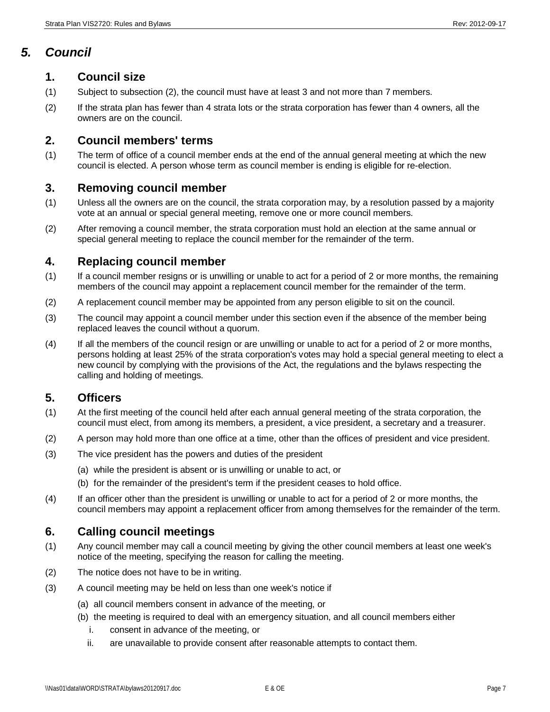# *5. Council*

#### **1. Council size**

- (1) Subject to subsection (2), the council must have at least 3 and not more than 7 members.
- (2) If the strata plan has fewer than 4 strata lots or the strata corporation has fewer than 4 owners, all the owners are on the council.

# **2. Council members' terms**

(1) The term of office of a council member ends at the end of the annual general meeting at which the new council is elected. A person whose term as council member is ending is eligible for re-election.

# **3. Removing council member**

- (1) Unless all the owners are on the council, the strata corporation may, by a resolution passed by a majority vote at an annual or special general meeting, remove one or more council members.
- (2) After removing a council member, the strata corporation must hold an election at the same annual or special general meeting to replace the council member for the remainder of the term.

### **4. Replacing council member**

- (1) If a council member resigns or is unwilling or unable to act for a period of 2 or more months, the remaining members of the council may appoint a replacement council member for the remainder of the term.
- (2) A replacement council member may be appointed from any person eligible to sit on the council.
- (3) The council may appoint a council member under this section even if the absence of the member being replaced leaves the council without a quorum.
- (4) If all the members of the council resign or are unwilling or unable to act for a period of 2 or more months, persons holding at least 25% of the strata corporation's votes may hold a special general meeting to elect a new council by complying with the provisions of the Act, the regulations and the bylaws respecting the calling and holding of meetings.

# **5. Officers**

- (1) At the first meeting of the council held after each annual general meeting of the strata corporation, the council must elect, from among its members, a president, a vice president, a secretary and a treasurer.
- (2) A person may hold more than one office at a time, other than the offices of president and vice president.
- (3) The vice president has the powers and duties of the president
	- (a) while the president is absent or is unwilling or unable to act, or
	- (b) for the remainder of the president's term if the president ceases to hold office.
- (4) If an officer other than the president is unwilling or unable to act for a period of 2 or more months, the council members may appoint a replacement officer from among themselves for the remainder of the term.

#### **6. Calling council meetings**

- (1) Any council member may call a council meeting by giving the other council members at least one week's notice of the meeting, specifying the reason for calling the meeting.
- (2) The notice does not have to be in writing.
- (3) A council meeting may be held on less than one week's notice if
	- (a) all council members consent in advance of the meeting, or
	- (b) the meeting is required to deal with an emergency situation, and all council members either
		- i. consent in advance of the meeting, or
		- ii. are unavailable to provide consent after reasonable attempts to contact them.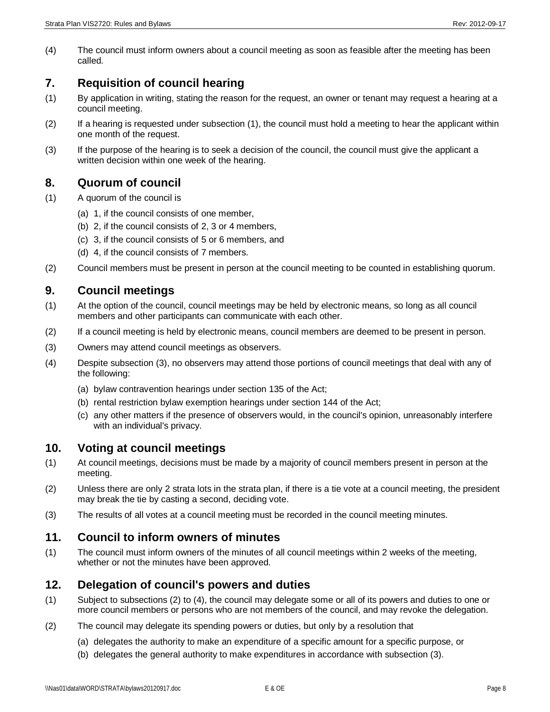(4) The council must inform owners about a council meeting as soon as feasible after the meeting has been called.

# **7. Requisition of council hearing**

- (1) By application in writing, stating the reason for the request, an owner or tenant may request a hearing at a council meeting.
- (2) If a hearing is requested under subsection (1), the council must hold a meeting to hear the applicant within one month of the request.
- (3) If the purpose of the hearing is to seek a decision of the council, the council must give the applicant a written decision within one week of the hearing.

# **8. Quorum of council**

- (1) A quorum of the council is
	- (a) 1, if the council consists of one member,
	- (b) 2, if the council consists of 2, 3 or 4 members,
	- (c) 3, if the council consists of 5 or 6 members, and
	- (d) 4, if the council consists of 7 members.
- (2) Council members must be present in person at the council meeting to be counted in establishing quorum.

# **9. Council meetings**

- (1) At the option of the council, council meetings may be held by electronic means, so long as all council members and other participants can communicate with each other.
- (2) If a council meeting is held by electronic means, council members are deemed to be present in person.
- (3) Owners may attend council meetings as observers.
- (4) Despite subsection (3), no observers may attend those portions of council meetings that deal with any of the following:
	- (a) bylaw contravention hearings under section 135 of the Act;
	- (b) rental restriction bylaw exemption hearings under section 144 of the Act;
	- (c) any other matters if the presence of observers would, in the council's opinion, unreasonably interfere with an individual's privacy.

#### **10. Voting at council meetings**

- (1) At council meetings, decisions must be made by a majority of council members present in person at the meeting.
- (2) Unless there are only 2 strata lots in the strata plan, if there is a tie vote at a council meeting, the president may break the tie by casting a second, deciding vote.
- (3) The results of all votes at a council meeting must be recorded in the council meeting minutes.

#### **11. Council to inform owners of minutes**

(1) The council must inform owners of the minutes of all council meetings within 2 weeks of the meeting, whether or not the minutes have been approved.

# **12. Delegation of council's powers and duties**

- (1) Subject to subsections (2) to (4), the council may delegate some or all of its powers and duties to one or more council members or persons who are not members of the council, and may revoke the delegation.
- (2) The council may delegate its spending powers or duties, but only by a resolution that
	- (a) delegates the authority to make an expenditure of a specific amount for a specific purpose, or
	- (b) delegates the general authority to make expenditures in accordance with subsection (3).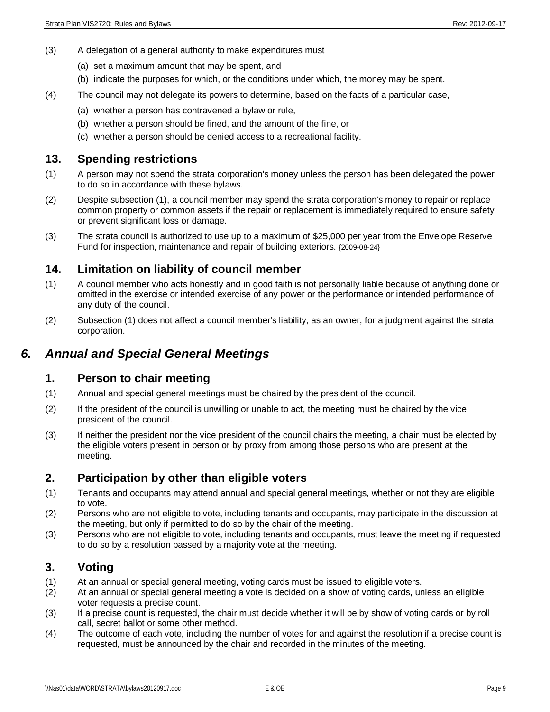- (3) A delegation of a general authority to make expenditures must
	- (a) set a maximum amount that may be spent, and
	- (b) indicate the purposes for which, or the conditions under which, the money may be spent.
- (4) The council may not delegate its powers to determine, based on the facts of a particular case,
	- (a) whether a person has contravened a bylaw or rule,
	- (b) whether a person should be fined, and the amount of the fine, or
	- (c) whether a person should be denied access to a recreational facility.

#### **13. Spending restrictions**

- (1) A person may not spend the strata corporation's money unless the person has been delegated the power to do so in accordance with these bylaws.
- (2) Despite subsection (1), a council member may spend the strata corporation's money to repair or replace common property or common assets if the repair or replacement is immediately required to ensure safety or prevent significant loss or damage.
- (3) The strata council is authorized to use up to a maximum of \$25,000 per year from the Envelope Reserve Fund for inspection, maintenance and repair of building exteriors. {2009-08-24}

#### **14. Limitation on liability of council member**

- (1) A council member who acts honestly and in good faith is not personally liable because of anything done or omitted in the exercise or intended exercise of any power or the performance or intended performance of any duty of the council.
- (2) Subsection (1) does not affect a council member's liability, as an owner, for a judgment against the strata corporation.

# *6. Annual and Special General Meetings*

#### **1. Person to chair meeting**

- (1) Annual and special general meetings must be chaired by the president of the council.
- (2) If the president of the council is unwilling or unable to act, the meeting must be chaired by the vice president of the council.
- (3) If neither the president nor the vice president of the council chairs the meeting, a chair must be elected by the eligible voters present in person or by proxy from among those persons who are present at the meeting.

# **2. Participation by other than eligible voters**

- (1) Tenants and occupants may attend annual and special general meetings, whether or not they are eligible to vote.
- (2) Persons who are not eligible to vote, including tenants and occupants, may participate in the discussion at the meeting, but only if permitted to do so by the chair of the meeting.
- (3) Persons who are not eligible to vote, including tenants and occupants, must leave the meeting if requested to do so by a resolution passed by a majority vote at the meeting.

#### **3. Voting**

- (1) At an annual or special general meeting, voting cards must be issued to eligible voters.
- (2) At an annual or special general meeting a vote is decided on a show of voting cards, unless an eligible voter requests a precise count.
- (3) If a precise count is requested, the chair must decide whether it will be by show of voting cards or by roll call, secret ballot or some other method.
- (4) The outcome of each vote, including the number of votes for and against the resolution if a precise count is requested, must be announced by the chair and recorded in the minutes of the meeting.